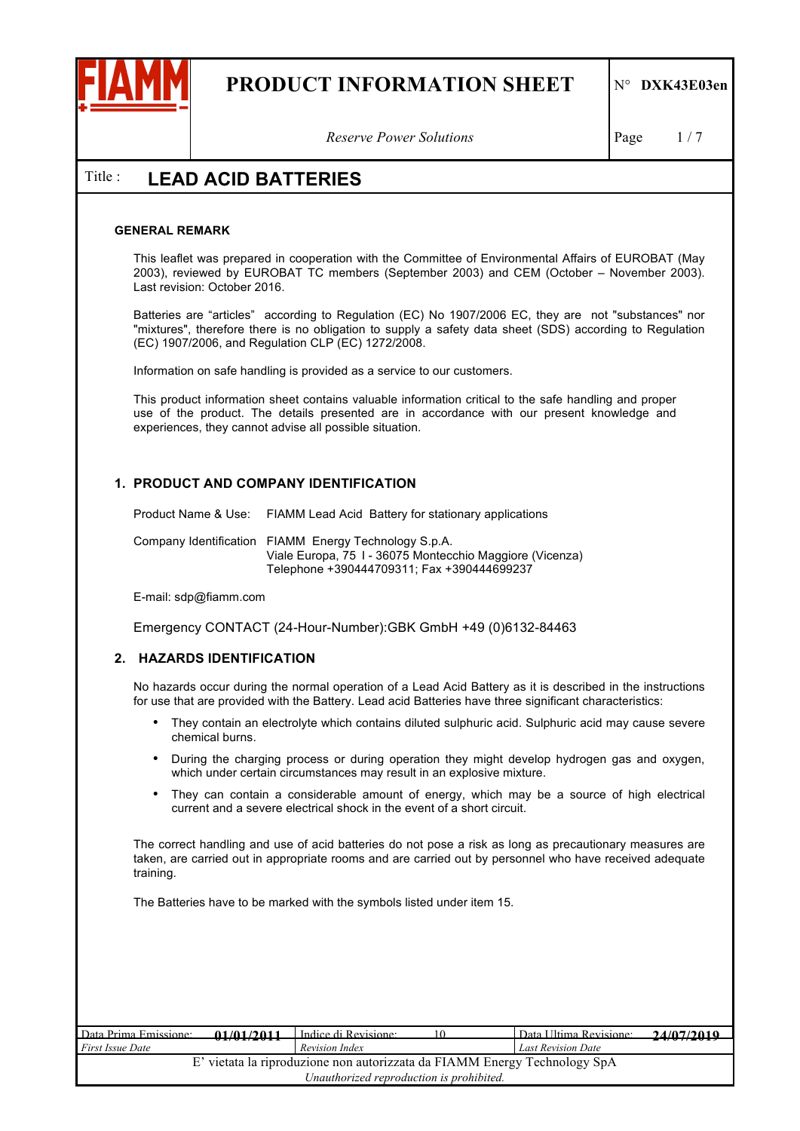

*Reserve Power Solutions* Page 1/7

### Title : **LEAD ACID BATTERIES**

#### **GENERAL REMARK**

This leaflet was prepared in cooperation with the Committee of Environmental Affairs of EUROBAT (May 2003), reviewed by EUROBAT TC members (September 2003) and CEM (October – November 2003). Last revision: October 2016.

Batteries are "articles" according to Regulation (EC) No 1907/2006 EC, they are not "substances" nor "mixtures", therefore there is no obligation to supply a safety data sheet (SDS) according to Regulation (EC) 1907/2006, and Regulation CLP (EC) 1272/2008.

Information on safe handling is provided as a service to our customers.

This product information sheet contains valuable information critical to the safe handling and proper use of the product. The details presented are in accordance with our present knowledge and experiences, they cannot advise all possible situation.

#### **1. PRODUCT AND COMPANY IDENTIFICATION**

Product Name & Use: FIAMM Lead Acid Battery for stationary applications

Company Identification FIAMM Energy Technology S.p.A. Viale Europa, 75 I - 36075 Montecchio Maggiore (Vicenza) Telephone +390444709311; Fax +390444699237

E-mail: sdp@fiamm.com

Emergency CONTACT (24-Hour-Number):GBK GmbH +49 (0)6132-84463

#### **2. HAZARDS IDENTIFICATION**

No hazards occur during the normal operation of a Lead Acid Battery as it is described in the instructions for use that are provided with the Battery. Lead acid Batteries have three significant characteristics:

- They contain an electrolyte which contains diluted sulphuric acid. Sulphuric acid may cause severe chemical burns.
- During the charging process or during operation they might develop hydrogen gas and oxygen, which under certain circumstances may result in an explosive mixture.
- They can contain a considerable amount of energy, which may be a source of high electrical current and a severe electrical shock in the event of a short circuit.

The correct handling and use of acid batteries do not pose a risk as long as precautionary measures are taken, are carried out in appropriate rooms and are carried out by personnel who have received adequate training.

The Batteries have to be marked with the symbols listed under item 15.

| Data Prima Emissione:   | 01/01/2011 | Indice di Revisione:                                                      | Data I Iltima Revisione:  | 24/07/2010 |
|-------------------------|------------|---------------------------------------------------------------------------|---------------------------|------------|
| <i>First Issue Date</i> | <u>.</u>   | Revision Index                                                            | <b>Last Revision Date</b> | --------   |
|                         |            | E' vietata la riproduzione non autorizzata da FIAMM Energy Technology SpA |                           |            |
|                         |            | Unauthorized reproduction is prohibited.                                  |                           |            |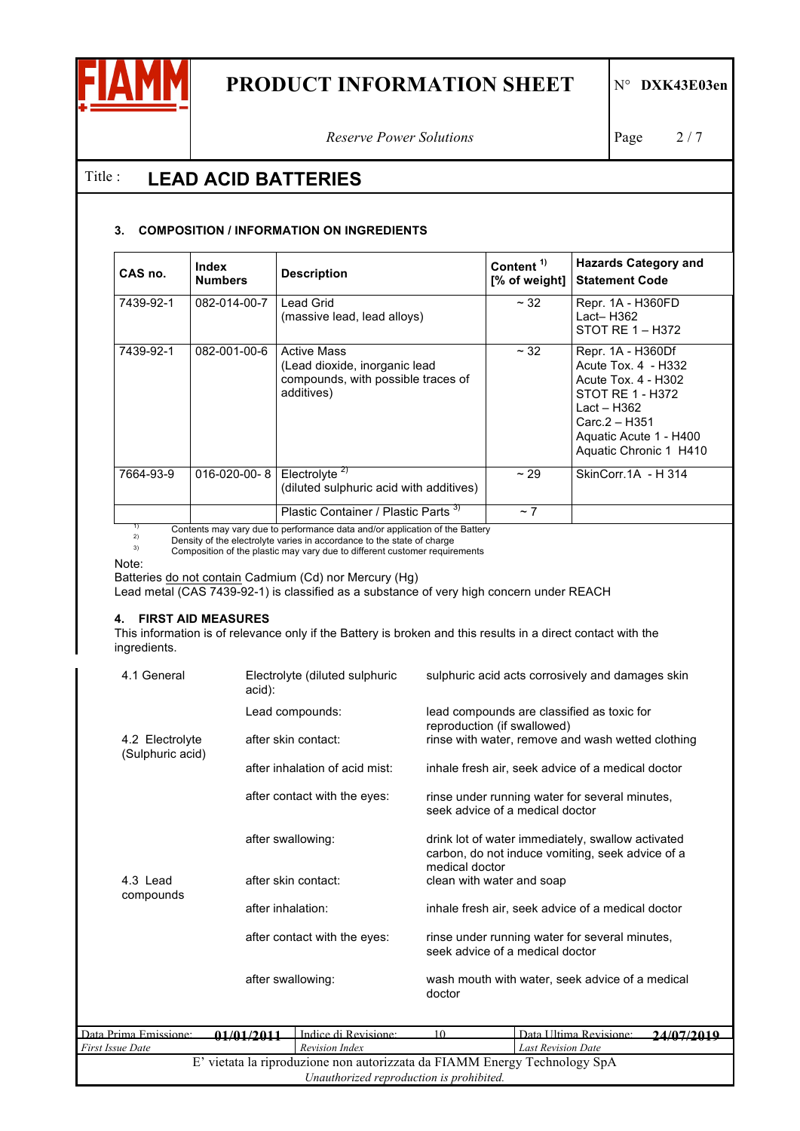

*Reserve Power Solutions* Page 2/7

### Title : **LEAD ACID BATTERIES**

#### **3. COMPOSITION / INFORMATION ON INGREDIENTS**

| CAS no.                                                                     | Index<br><b>Numbers</b> | <b>Description</b>                                                                                      | Content <sup>1)</sup><br>[% of weight] | <b>Hazards Category and</b><br><b>Statement Code</b>                                                                                                                        |
|-----------------------------------------------------------------------------|-------------------------|---------------------------------------------------------------------------------------------------------|----------------------------------------|-----------------------------------------------------------------------------------------------------------------------------------------------------------------------------|
| 7439-92-1                                                                   | 082-014-00-7            | Lead Grid<br>(massive lead, lead alloys)                                                                | $~\sim$ 32                             | Repr. 1A - H360FD<br>$Lact - H362$<br>STOT RE $1 - H372$                                                                                                                    |
| 7439-92-1                                                                   | 082-001-00-6            | <b>Active Mass</b><br>(Lead dioxide, inorganic lead<br>compounds, with possible traces of<br>additives) | $~\sim$ 32                             | Repr. 1A - H360Df<br>Acute Tox. 4 - H332<br>Acute Tox. 4 - H302<br>STOT RE 1 - H372<br>Lact – $H362$<br>$Carc.2 - H351$<br>Aquatic Acute 1 - H400<br>Aquatic Chronic 1 H410 |
| 7664-93-9                                                                   | $016 - 020 - 00 - 8$    | Electrolyte <sup>2)</sup><br>(diluted sulphuric acid with additives)                                    | ~29                                    | SkinCorr.1A - H 314                                                                                                                                                         |
| Osatzate armiinen din te neutranenen deta sadten saallestise etten Detten i |                         | Plastic Container / Plastic Parts <sup>3)</sup>                                                         | $~\sim$ 7                              |                                                                                                                                                                             |

<sup>1)</sup> Contents may vary due to performance data and/or application of the Battery<br><sup>2)</sup> Density of the electrolyte varies in accordance to the state of charge<br><sup>3)</sup> Composition of the plastic may vary due to different custom

Note:

Batteries do not contain Cadmium (Cd) nor Mercury (Hg)

Lead metal (CAS 7439-92-1) is classified as a substance of very high concern under REACH

#### **4. FIRST AID MEASURES**

This information is of relevance only if the Battery is broken and this results in a direct contact with the ingredients.

|                         |                   | E' vietata la riproduzione non autorizzata da FIAMM Energy Technology SpA<br>Unauthorized reproduction is prohibited. |        |                                                                                                                         |            |  |
|-------------------------|-------------------|-----------------------------------------------------------------------------------------------------------------------|--------|-------------------------------------------------------------------------------------------------------------------------|------------|--|
| <b>First Issue Date</b> |                   | Revision Index                                                                                                        |        | <b>Last Revision Date</b>                                                                                               |            |  |
| Data Prima Emissione:   | 01/01/2011        | Indice di Revisione:                                                                                                  | 10     | Data Ultima Revisione:                                                                                                  | 24/07/2010 |  |
|                         | after swallowing: |                                                                                                                       | doctor | wash mouth with water, seek advice of a medical                                                                         |            |  |
|                         |                   | after skin contact:<br>after inhalation:<br>after contact with the eyes:                                              |        | rinse under running water for several minutes,<br>seek advice of a medical doctor                                       |            |  |
|                         |                   |                                                                                                                       |        | clean with water and soap<br>inhale fresh air, seek advice of a medical doctor                                          |            |  |
| 4.3 Lead<br>compounds   |                   |                                                                                                                       |        |                                                                                                                         |            |  |
|                         |                   | after swallowing:                                                                                                     |        | drink lot of water immediately, swallow activated<br>carbon, do not induce vomiting, seek advice of a<br>medical doctor |            |  |
|                         |                   | after contact with the eyes:                                                                                          |        | rinse under running water for several minutes,<br>seek advice of a medical doctor                                       |            |  |
| (Sulphuric acid)        |                   | after inhalation of acid mist:                                                                                        |        | inhale fresh air, seek advice of a medical doctor                                                                       |            |  |
| 4.2 Electrolyte         |                   | after skin contact:                                                                                                   |        | reproduction (if swallowed)<br>rinse with water, remove and wash wetted clothing                                        |            |  |
|                         |                   | Lead compounds:                                                                                                       |        | lead compounds are classified as toxic for                                                                              |            |  |
| 4.1 General             | acid):            | Electrolyte (diluted sulphuric                                                                                        |        | sulphuric acid acts corrosively and damages skin                                                                        |            |  |
|                         |                   |                                                                                                                       |        |                                                                                                                         |            |  |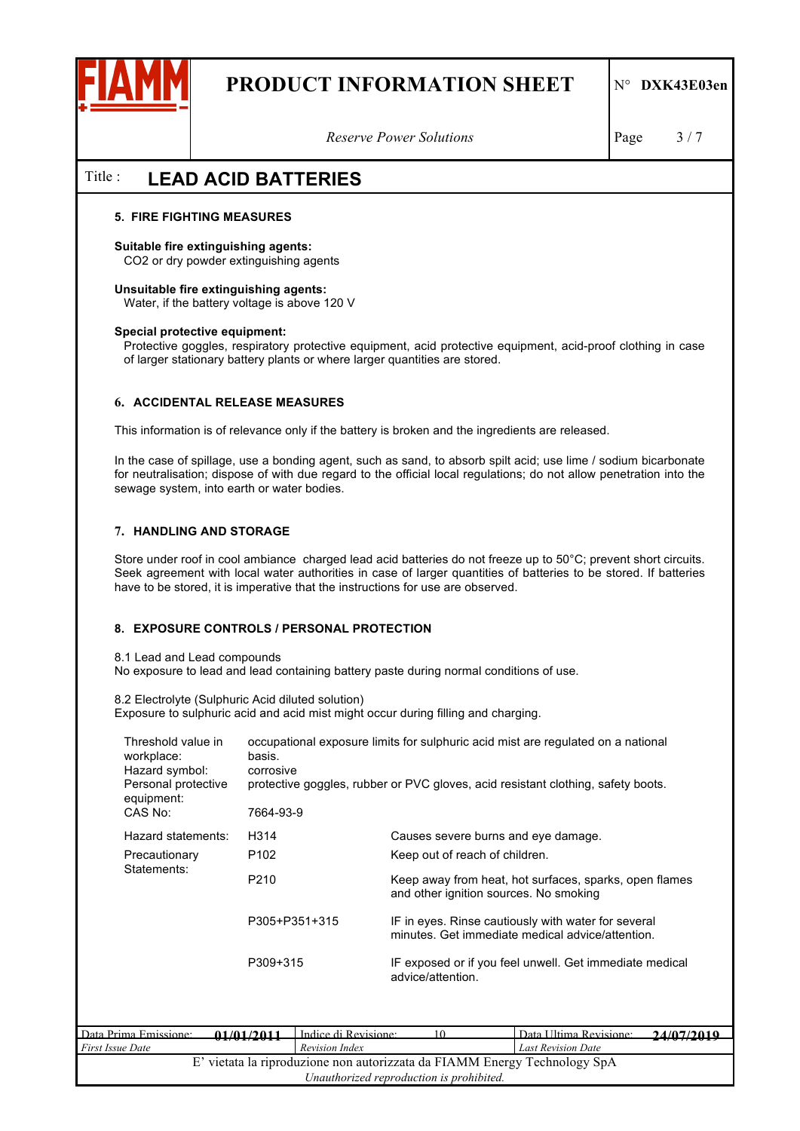

*Reserve Power Solutions* Page 3/7

### Title : **LEAD ACID BATTERIES**

#### **5. FIRE FIGHTING MEASURES**

#### **Suitable fire extinguishing agents:**

CO2 or dry powder extinguishing agents

#### **Unsuitable fire extinguishing agents:**  Water, if the battery voltage is above 120 V

#### **Special protective equipment:**

Protective goggles, respiratory protective equipment, acid protective equipment, acid-proof clothing in case of larger stationary battery plants or where larger quantities are stored.

#### **6. ACCIDENTAL RELEASE MEASURES**

This information is of relevance only if the battery is broken and the ingredients are released.

In the case of spillage, use a bonding agent, such as sand, to absorb spilt acid; use lime / sodium bicarbonate for neutralisation; dispose of with due regard to the official local regulations; do not allow penetration into the sewage system, into earth or water bodies.

#### **7. HANDLING AND STORAGE**

Store under roof in cool ambiance charged lead acid batteries do not freeze up to 50°C; prevent short circuits. Seek agreement with local water authorities in case of larger quantities of batteries to be stored. If batteries have to be stored, it is imperative that the instructions for use are observed.

#### **8. EXPOSURE CONTROLS / PERSONAL PROTECTION**

8.1 Lead and Lead compounds

No exposure to lead and lead containing battery paste during normal conditions of use.

8.2 Electrolyte (Sulphuric Acid diluted solution)

Exposure to sulphuric acid and acid mist might occur during filling and charging.

| Threshold value in<br>workplace:<br>Hazard symbol:<br>Personal protective<br>equipment:<br>CAS No: | basis.            | occupational exposure limits for sulphuric acid mist are regulated on a national<br>corrosive<br>protective goggles, rubber or PVC gloves, acid resistant clothing, safety boots.<br>7664-93-9 |                                                                                                                                                                                                             |                        |                  |  |
|----------------------------------------------------------------------------------------------------|-------------------|------------------------------------------------------------------------------------------------------------------------------------------------------------------------------------------------|-------------------------------------------------------------------------------------------------------------------------------------------------------------------------------------------------------------|------------------------|------------------|--|
| Hazard statements:                                                                                 | H314              |                                                                                                                                                                                                | Causes severe burns and eye damage.                                                                                                                                                                         |                        |                  |  |
| Precautionary                                                                                      | P <sub>102</sub>  |                                                                                                                                                                                                | Keep out of reach of children.                                                                                                                                                                              |                        |                  |  |
| Statements:                                                                                        | P210              |                                                                                                                                                                                                | Keep away from heat, hot surfaces, sparks, open flames<br>and other ignition sources. No smoking<br>IF in eyes. Rinse cautiously with water for several<br>minutes. Get immediate medical advice/attention. |                        |                  |  |
|                                                                                                    |                   | P305+P351+315                                                                                                                                                                                  |                                                                                                                                                                                                             |                        |                  |  |
|                                                                                                    | P309+315          |                                                                                                                                                                                                | IF exposed or if you feel unwell. Get immediate medical<br>advice/attention.                                                                                                                                |                        |                  |  |
|                                                                                                    |                   | Indice di Revisione:                                                                                                                                                                           |                                                                                                                                                                                                             |                        |                  |  |
| Prima Emissione:                                                                                   | <u>01/01/2011</u> |                                                                                                                                                                                                | 10 <sup>1</sup>                                                                                                                                                                                             | Data Ultima Revisione: | <i>24/07/201</i> |  |

| Data Prima Emissione:                                                     | 01/01/2011 | Indice di Revisione:                     |  | Data Illtima Revisione:   | 24/07/2010 |
|---------------------------------------------------------------------------|------------|------------------------------------------|--|---------------------------|------------|
| <b>First Issue Date</b>                                                   | .          | Revision Index                           |  | <b>Last Revision Date</b> |            |
| E' vietata la riproduzione non autorizzata da FIAMM Energy Technology SpA |            |                                          |  |                           |            |
|                                                                           |            | Unauthorized reproduction is prohibited. |  |                           |            |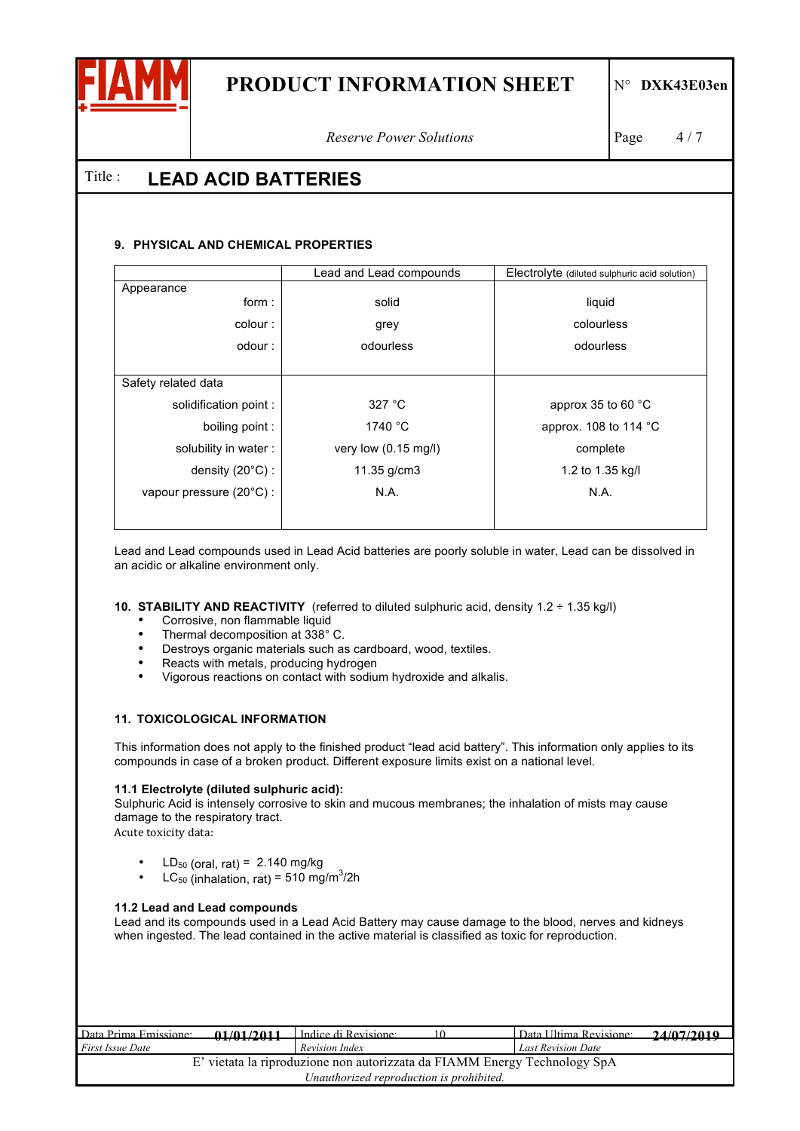

*Reserve Power Solutions* **Page** 4/7

### Title : **LEAD ACID BATTERIES**

#### **9. PHYSICAL AND CHEMICAL PROPERTIES**

| Lead and Lead compounds        | Electrolyte (diluted sulphuric acid solution) |
|--------------------------------|-----------------------------------------------|
|                                |                                               |
|                                | liquid                                        |
| grey                           | colourless                                    |
| odourless                      | odourless                                     |
|                                |                                               |
|                                |                                               |
| 327 °C                         | approx 35 to 60 $\degree$ C                   |
| 1740 °C                        | approx. 108 to 114 $^{\circ}$ C               |
| very low $(0.15 \text{ mg/l})$ | complete                                      |
| 11.35 g/cm3                    | 1.2 to 1.35 kg/l                              |
| N.A.                           | N.A.                                          |
|                                |                                               |
|                                | solid                                         |

Lead and Lead compounds used in Lead Acid batteries are poorly soluble in water, Lead can be dissolved in an acidic or alkaline environment only.

#### **10. STABILITY AND REACTIVITY** (referred to diluted sulphuric acid, density 1.2 ÷ 1.35 kg/l)

- Corrosive, non flammable liquid<br>• Thermal decomposition at 338°
- Thermal decomposition at 338°C.<br>• Destroys organic materials such as
- Destroys organic materials such as cardboard, wood, textiles.
- Reacts with metals, producing hydrogen
- Vigorous reactions on contact with sodium hydroxide and alkalis.

#### **11. TOXICOLOGICAL INFORMATION**

This information does not apply to the finished product "lead acid battery". This information only applies to its compounds in case of a broken product. Different exposure limits exist on a national level.

#### **11.1 Electrolyte (diluted sulphuric acid):**

Sulphuric Acid is intensely corrosive to skin and mucous membranes; the inhalation of mists may cause damage to the respiratory tract.

Acute toxicity data:

- LD<sub>50</sub> (oral, rat) =  $2.140$  mg/kg
- LC<sub>50</sub> (inhalation, rat) = 510 mg/m<sup>3</sup>/2h

#### **11.2 Lead and Lead compounds**

Lead and its compounds used in a Lead Acid Battery may cause damage to the blood, nerves and kidneys when ingested. The lead contained in the active material is classified as toxic for reproduction.

| Data Prima Emissione:                                                     | 01/01/2011 | Indice di Revisione:                     |  | Data Ultima Revisione:    | 24/07/2010 |  |
|---------------------------------------------------------------------------|------------|------------------------------------------|--|---------------------------|------------|--|
| <b>First Issue Date</b>                                                   | .          | Revision Index                           |  | <b>Last Revision Date</b> |            |  |
| E' vietata la riproduzione non autorizzata da FIAMM Energy Technology SpA |            |                                          |  |                           |            |  |
|                                                                           |            | Unauthorized reproduction is prohibited. |  |                           |            |  |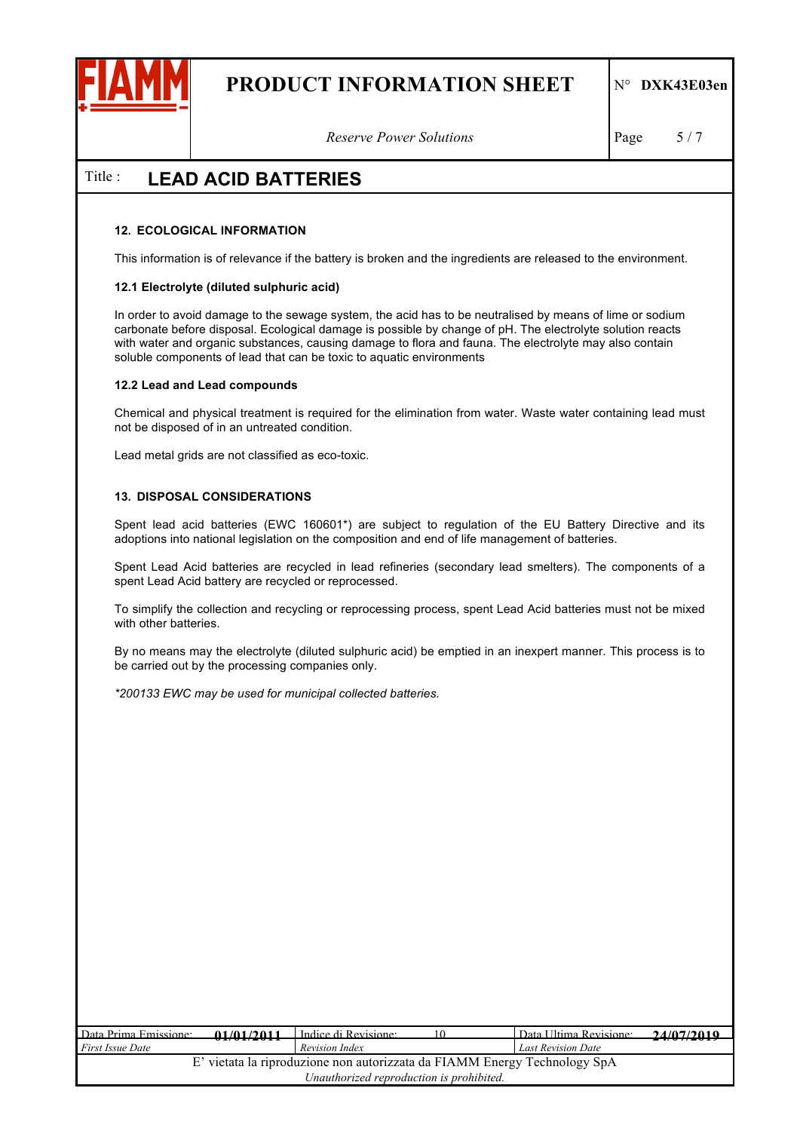

*Reserve Power Solutions* Page 5/7

### Title : **LEAD ACID BATTERIES**

#### **12. ECOLOGICAL INFORMATION**

This information is of relevance if the battery is broken and the ingredients are released to the environment.

#### **12.1 Electrolyte (diluted sulphuric acid)**

In order to avoid damage to the sewage system, the acid has to be neutralised by means of lime or sodium carbonate before disposal. Ecological damage is possible by change of pH. The electrolyte solution reacts with water and organic substances, causing damage to flora and fauna. The electrolyte may also contain soluble components of lead that can be toxic to aquatic environments

#### **12.2 Lead and Lead compounds**

Chemical and physical treatment is required for the elimination from water. Waste water containing lead must not be disposed of in an untreated condition.

Lead metal grids are not classified as eco-toxic.

#### **13. DISPOSAL CONSIDERATIONS**

Spent lead acid batteries (EWC 160601\*) are subject to regulation of the EU Battery Directive and its adoptions into national legislation on the composition and end of life management of batteries.

Spent Lead Acid batteries are recycled in lead refineries (secondary lead smelters). The components of a spent Lead Acid battery are recycled or reprocessed.

To simplify the collection and recycling or reprocessing process, spent Lead Acid batteries must not be mixed with other batteries.

By no means may the electrolyte (diluted sulphuric acid) be emptied in an inexpert manner. This process is to be carried out by the processing companies only.

*\*200133 EWC may be used for municipal collected batteries.*

| Data Prima Emissione:                                                     | 01/01/2011 | Indice di Revisione: | Data Ultima Revisione:    | 24/07/2010 |  |  |
|---------------------------------------------------------------------------|------------|----------------------|---------------------------|------------|--|--|
| <i>First Issue Date</i>                                                   | .          | Revision Index       | <b>Last Revision Date</b> | --------   |  |  |
| E' vietata la riproduzione non autorizzata da FIAMM Energy Technology SpA |            |                      |                           |            |  |  |
| Unauthorized reproduction is prohibited.                                  |            |                      |                           |            |  |  |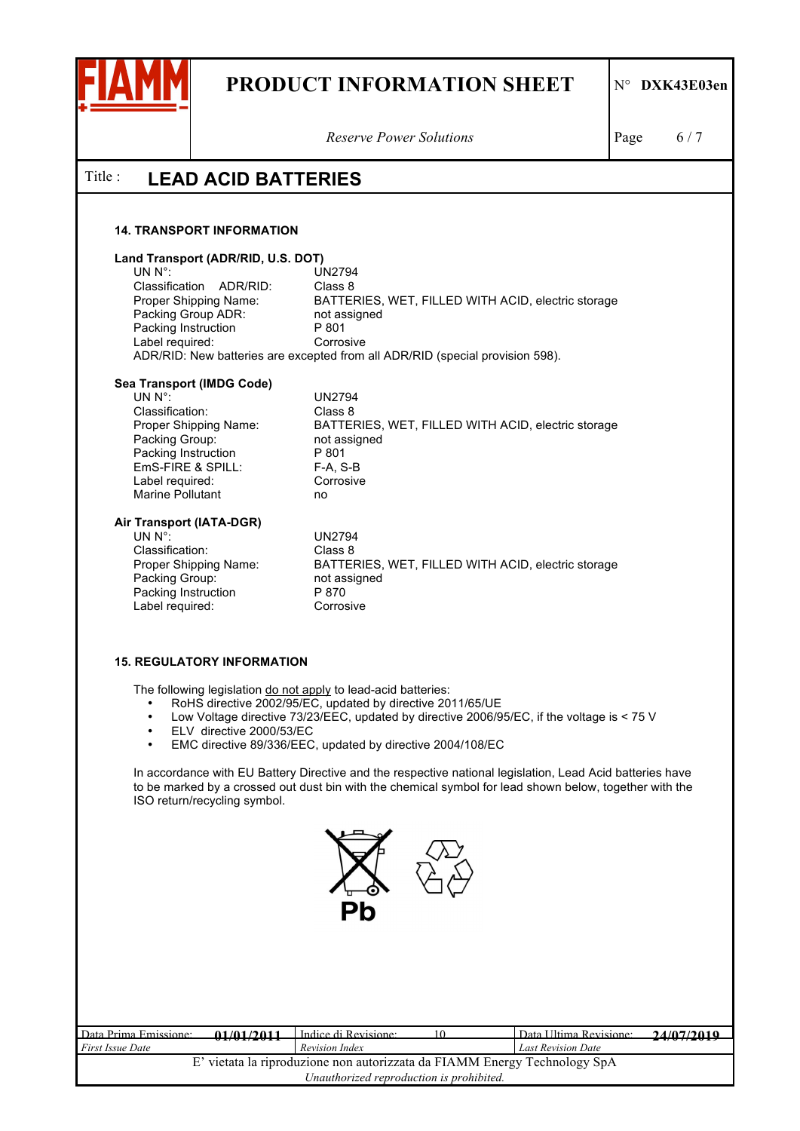

*Reserve Power Solutions* Page 6/7

### Title : **LEAD ACID BATTERIES**

#### **14. TRANSPORT INFORMATION**

# Land Transport (ADR/RID, U.S. DOT)<br>UN N°:

UN2794<br>Class 8 Classification ADR/RID: Proper Shipping Name: BATTERIES, WET, FILLED WITH ACID, electric storage Packing Group ADR: not assigned Packing Instruction P 801 Label required: Corrosive ADR/RID: New batteries are excepted from all ADR/RID (special provision 598).

## Sea Transport (IMDG Code)<br>UN N°<sup>.</sup>

Classification: Class 8 Packing Group: not assigned Packing Instruction P 801<br>EmS-FIRE & SPILL: F-A, S-B EmS-FIRE & SPILL: Label required: Corrosive Marine Pollutant **no** 

UN N°: UN2794 Proper Shipping Name: BATTERIES, WET, FILLED WITH ACID, electric storage

# **Air Transport (IATA-DGR)**

Classification: Packing Group: Packing Instruction P 870 Label required: Corrosive

UN 2794<br>Class 8 Proper Shipping Name: BATTERIES, WET, FILLED WITH ACID, electric storage<br>Packing Group: not assigned

#### **15. REGULATORY INFORMATION**

The following legislation do not apply to lead-acid batteries:

- RoHS directive 2002/95/EC, updated by directive 2011/65/UE<br>• Low Voltage directive 73/23/EEC, updated by directive 2006/9
- Low Voltage directive 73/23/EEC, updated by directive 2006/95/EC, if the voltage is < 75 V
- ELV directive 2000/53/EC
- EMC directive 89/336/EEC, updated by directive 2004/108/EC

In accordance with EU Battery Directive and the respective national legislation, Lead Acid batteries have to be marked by a crossed out dust bin with the chemical symbol for lead shown below, together with the ISO return/recycling symbol.



| Data Prima Emissione:                                                     | 01/01/2011 | Indice di Revisione: |  | Data Ultima Revisione:    | 24/07/2010 |  |
|---------------------------------------------------------------------------|------------|----------------------|--|---------------------------|------------|--|
| <i>First Issue Date</i>                                                   |            | Revision Index       |  | <b>Last Revision Date</b> |            |  |
| E' vietata la riproduzione non autorizzata da FIAMM Energy Technology SpA |            |                      |  |                           |            |  |
| Unauthorized reproduction is prohibited.                                  |            |                      |  |                           |            |  |